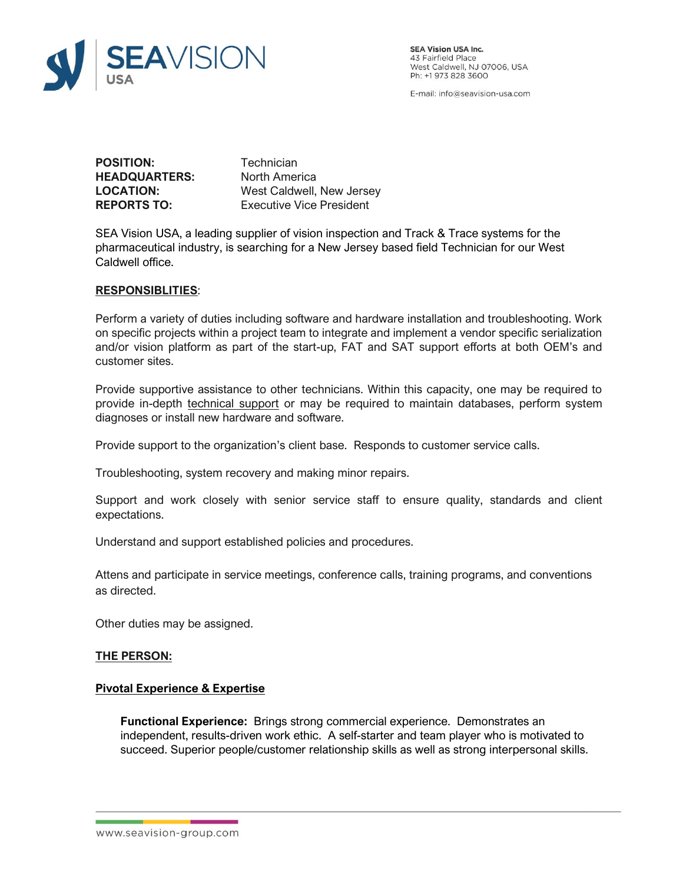

**SEA Vision USA Inc.** 43 Fairfield Place<br>West Caldwell, NJ 07006, USA Ph: +1 973 828 3600

E-mail: info@seavision-usa.com

**POSITION:** Technician **HEADQUARTERS:** North America

**LOCATION:** West Caldwell, New Jersey **REPORTS TO:** Executive Vice President

SEA Vision USA, a leading supplier of vision inspection and Track & Trace systems for the pharmaceutical industry, is searching for a New Jersey based field Technician for our West Caldwell office.

## **RESPONSIBLITIES**:

Perform a variety of duties including software and hardware installation and troubleshooting. Work on specific projects within a project team to integrate and implement a vendor specific serialization and/or vision platform as part of the start-up, FAT and SAT support efforts at both OEM's and customer sites.

Provide supportive assistance to other technicians. Within this capacity, one may be required to provide in-depth [technical support](https://www.wisegeek.com/what-is-technical-support.htm) or may be required to maintain databases, perform system diagnoses or install new hardware and software.

Provide support to the organization's client base. Responds to customer service calls.

Troubleshooting, system recovery and making minor repairs.

Support and work closely with senior service staff to ensure quality, standards and client expectations.

Understand and support established policies and procedures.

Attens and participate in service meetings, conference calls, training programs, and conventions as directed.

Other duties may be assigned.

# **THE PERSON:**

### **Pivotal Experience & Expertise**

**Functional Experience:** Brings strong commercial experience. Demonstrates an independent, results-driven work ethic. A self-starter and team player who is motivated to succeed. Superior people/customer relationship skills as well as strong interpersonal skills.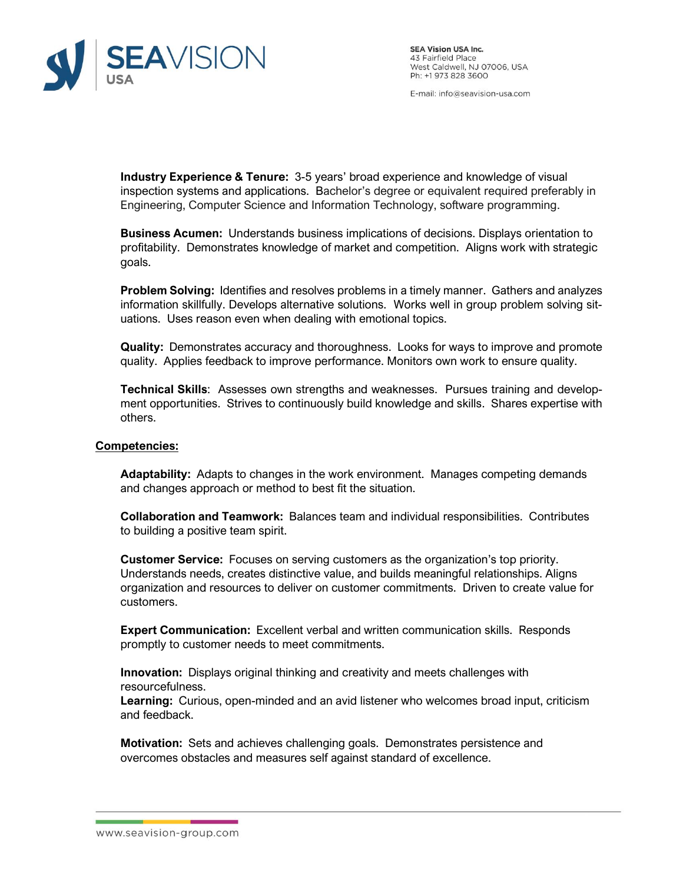

**SEA Vision USA Inc.** 43 Fairfield Place<br>West Caldwell, NJ 07006, USA Ph: +1 973 828 3600

E-mail: info@seavision-usa.com

**Industry Experience & Tenure:** 3-5 years' broad experience and knowledge of visual inspection systems and applications. Bachelor's degree or equivalent required preferably in Engineering, Computer Science and Information Technology, software programming.

**Business Acumen:** Understands business implications of decisions. Displays orientation to profitability. Demonstrates knowledge of market and competition. Aligns work with strategic goals.

**Problem Solving:** Identifies and resolves problems in a timely manner. Gathers and analyzes information skillfully. Develops alternative solutions. Works well in group problem solving situations. Uses reason even when dealing with emotional topics.

**Quality:** Demonstrates accuracy and thoroughness. Looks for ways to improve and promote quality. Applies feedback to improve performance. Monitors own work to ensure quality.

**Technical Skills**: Assesses own strengths and weaknesses. Pursues training and development opportunities. Strives to continuously build knowledge and skills. Shares expertise with others.

### **Competencies:**

**Adaptability:** Adapts to changes in the work environment. Manages competing demands and changes approach or method to best fit the situation.

**Collaboration and Teamwork:** Balances team and individual responsibilities. Contributes to building a positive team spirit.

**Customer Service:** Focuses on serving customers as the organization's top priority. Understands needs, creates distinctive value, and builds meaningful relationships. Aligns organization and resources to deliver on customer commitments. Driven to create value for customers.

**Expert Communication:** Excellent verbal and written communication skills. Responds promptly to customer needs to meet commitments.

**Innovation:** Displays original thinking and creativity and meets challenges with resourcefulness.

**Learning:** Curious, open-minded and an avid listener who welcomes broad input, criticism and feedback.

**Motivation:** Sets and achieves challenging goals. Demonstrates persistence and overcomes obstacles and measures self against standard of excellence.